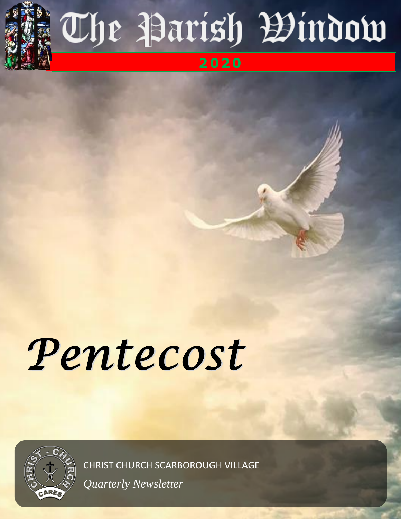

# The Parish Bindow

# **2 02 0**

# Pentecost



CHRIST CHURCH SCARBOROUGH VILLAGE

*Quarterly Newsletter*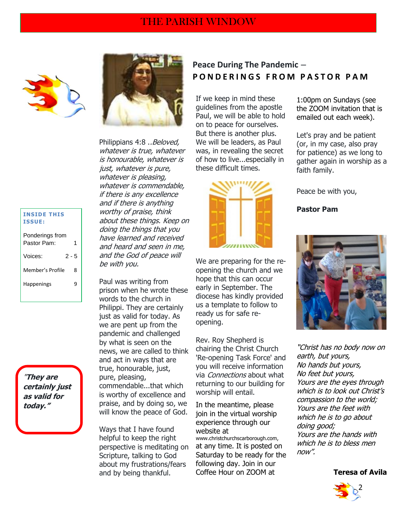

Philippians 4:8 ..*Beloved*, whatever is true, whatever is honourable, whatever is just, whatever is pure, whatever is pleasing, whatever is commendable, if there is any excellence and if there is anything worthy of praise, think about these things. Keep on doing the things that you have learned and received and heard and seen in me, and the God of peace will be with you.

Paul was writing from prison when he wrote these words to the church in Philippi. They are certainly just as valid for today. As we are pent up from the pandemic and challenged by what is seen on the news, we are called to think and act in ways that are true, honourable, just, pure, pleasing, commendable...that which is worthy of excellence and praise, and by doing so, we will know the peace of God.

Ways that I have found helpful to keep the right perspective is meditating on Scripture, talking to God about my frustrations/fears and by being thankful.

## **Peace During The Pandemic** – **P O N D E R I N G S F R O M P A S T O R P A M**

If we keep in mind these guidelines from the apostle Paul, we will be able to hold on to peace for ourselves. But there is another plus. We will be leaders, as Paul was, in revealing the secret of how to live...especially in these difficult times.



We are preparing for the reopening the church and we hope that this can occur early in September. The diocese has kindly provided us a template to follow to ready us for safe reopening.

Rev. Roy Shepherd is chairing the Christ Church 'Re-opening Task Force' and you will receive information via Connections about what returning to our building for worship will entail.

In the meantime, please join in the virtual worship experience through our website at www.christchurchscarborough.com, at any time. It is posted on Saturday to be ready for the following day. Join in our Coffee Hour on ZOOM at

1:00pm on Sundays (see the ZOOM invitation that is emailed out each week).

Let's pray and be patient (or, in my case, also pray for patience) as we long to gather again in worship as a faith family.

Peace be with you,

**Pastor Pam**



"Christ has no body now on earth, but yours, No hands but yours, No feet but yours, Yours are the eyes through which is to look out Christ's compassion to the world; Yours are the feet with which he is to go about doing good; Yours are the hands with which he is to bless men now".

#### **Teresa of Avila**



#### **INSIDE THIS ISSUE:**

| Ponderings from<br>Pastor Pam: | 1     |
|--------------------------------|-------|
| Voices:                        | 2 - 5 |
| Member's Profile               | Զ     |
| <b>Happenings</b>              |       |
|                                |       |

"**They are certainly just as valid for today."**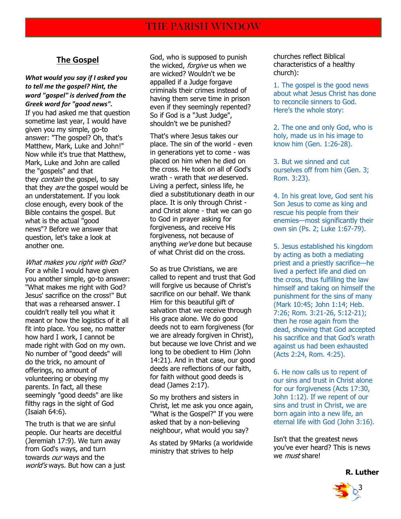### **The Gospel**

*What would you say if I asked you to tell me the gospel? Hint, the word "gospel" is derived from the Greek word for "good news".*

If you had asked me that question sometime last year, I would have given you my simple, go-to answer: "The gospel? Oh, that's Matthew, Mark, Luke and John!" Now while it's true that Matthew, Mark, Luke and John are called the "gospels" and that they *contain* the gospel, to say that they *are* the gospel would be an understatement. If you look close enough, every book of the Bible contains the gospel. But what is the actual "good news"? Before we answer that question, let's take a look at another one.

What makes you right with God? For a while I would have given you another simple, go-to answer: "What makes me right with God? Jesus' sacrifice on the cross!" But that was a rehearsed answer. I couldn't really tell you what it meant or how the logistics of it all fit into place. You see, no matter how hard I work, I cannot be made right with God on my own. No number of "good deeds" will do the trick, no amount of offerings, no amount of volunteering or obeying my parents. In fact, all these seemingly "good deeds" are like filthy rags in the sight of God (Isaiah 64:6).

The truth is that we are sinful people. Our hearts are deceitful (Jeremiah 17:9). We turn away from God's ways, and turn towards our ways and the world's ways. But how can a just God, who is supposed to punish the wicked, forgive us when we are wicked? Wouldn't we be appalled if a Judge forgave criminals their crimes instead of having them serve time in prison even if they seemingly repented? So if God is a "Just Judge", shouldn't we be punished?

That's where Jesus takes our place. The sin of the world - even in generations yet to come - was placed on him when he died on the cross. He took on all of God's wrath - wrath that we deserved. Living a perfect, sinless life, he died a substitutionary death in our place. It is only through Christ and Christ alone - that we can go to God in prayer asking for forgiveness, and receive His forgiveness, not because of anything we've done but because of what Christ did on the cross.

So as true Christians, we are called to repent and trust that God will forgive us because of Christ's sacrifice on our behalf. We thank Him for this beautiful gift of salvation that we receive through His grace alone. We do good deeds not to earn forgiveness (for we are already forgiven in Christ), but because we love Christ and we long to be obedient to Him (John 14:21). And in that case, our good deeds are reflections of our faith, for faith without good deeds is dead (James 2:17).

So my brothers and sisters in Christ, let me ask you once again, "What is the Gospel?" If you were asked that by a non-believing neighbour, what would you say?

As stated by 9Marks (a worldwide ministry that strives to help

churches reflect Biblical characteristics of a healthy church):

1. The gospel is the good news about what Jesus Christ has done to reconcile sinners to God. Here's the whole story:

2. The one and only God, who is holy, made us in his image to know him (Gen. 1:26-28).

3. But we sinned and cut ourselves off from him (Gen. 3; Rom. 3:23).

4. In his great love, God sent his Son Jesus to come as king and rescue his people from their enemies—most significantly their own sin (Ps. 2; Luke 1:67-79).

5. Jesus established his kingdom by acting as both a mediating priest and a priestly sacrifice—he lived a perfect life and died on the cross, thus fulfilling the law himself and taking on himself the punishment for the sins of many (Mark 10:45; John 1:14; Heb. 7:26; Rom. 3:21-26, 5:12-21); then he rose again from the dead, showing that God accepted his sacrifice and that God's wrath against us had been exhausted (Acts 2:24, Rom. 4:25).

6. He now calls us to repent of our sins and trust in Christ alone for our forgiveness (Acts 17:30, John 1:12). If we repent of our sins and trust in Christ, we are born again into a new life, an eternal life with God (John 3:16).

Isn't that the greatest news you've ever heard? This is news we *must* share!



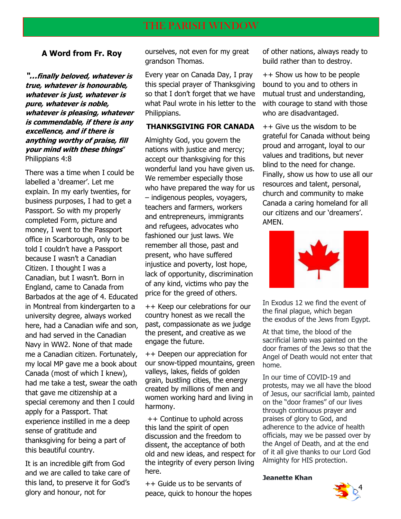#### **A Word from Fr. Roy**

**"…finally beloved, whatever is true, whatever is honourable, whatever is just, whatever is pure, whatever is noble, whatever is pleasing, whatever is commendable, if there is any excellence, and if there is anything worthy of praise, fill your mind with these things**" Philippians 4:8

There was a time when I could be labelled a 'dreamer'. Let me explain. In my early twenties, for business purposes, I had to get a Passport. So with my properly completed Form, picture and money, I went to the Passport office in Scarborough, only to be told I couldn't have a Passport because I wasn't a Canadian Citizen. I thought I was a Canadian, but I wasn't. Born in England, came to Canada from Barbados at the age of 4. Educated in Montreal from kindergarten to a university degree, always worked here, had a Canadian wife and son, and had served in the Canadian Navy in WW2. None of that made me a Canadian citizen. Fortunately, my local MP gave me a book about Canada (most of which I knew), had me take a test, swear the oath that gave me citizenship at a special ceremony and then I could apply for a Passport. That experience instilled in me a deep sense of gratitude and thanksgiving for being a part of this beautiful country.

It is an incredible gift from God and we are called to take care of this land, to preserve it for God's glory and honour, not for

ourselves, not even for my great grandson Thomas.

Every year on Canada Day, I pray this special prayer of Thanksgiving so that I don't forget that we have what Paul wrote in his letter to the Philippians.

#### **THANKSGIVING FOR CANADA**

Almighty God, you govern the nations with justice and mercy; accept our thanksgiving for this wonderful land you have given us. We remember especially those who have prepared the way for us – indigenous peoples, voyagers, teachers and farmers, workers and entrepreneurs, immigrants and refugees, advocates who fashioned our just laws. We remember all those, past and present, who have suffered injustice and poverty, lost hope, lack of opportunity, discrimination of any kind, victims who pay the price for the greed of others.

++ Keep our celebrations for our country honest as we recall the past, compassionate as we judge the present, and creative as we engage the future.

++ Deepen our appreciation for our snow-tipped mountains, green valleys, lakes, fields of golden grain, bustling cities, the energy created by millions of men and women working hard and living in harmony.

++ Continue to uphold across this land the spirit of open discussion and the freedom to dissent, the acceptance of both old and new ideas, and respect for the integrity of every person living here.

o preserve it for God's  $+$  4 Guide us to be servants of  $\begin{array}{cc} 4 \end{array}$ peace, quick to honour the hopes

of other nations, always ready to build rather than to destroy.

++ Show us how to be people bound to you and to others in mutual trust and understanding, with courage to stand with those who are disadvantaged.

++ Give us the wisdom to be grateful for Canada without being proud and arrogant, loyal to our values and traditions, but never blind to the need for change. Finally, show us how to use all our resources and talent, personal, church and community to make Canada a caring homeland for all our citizens and our 'dreamers'. AMEN.



In Exodus 12 we find the event of the final plague, which began the exodus of the Jews from Egypt.

At that time, the blood of the sacrificial lamb was painted on the door frames of the Jews so that the Angel of Death would not enter that home.

In our time of COVID-19 and protests, may we all have the blood of Jesus, our sacrificial lamb, painted on the "door frames" of our lives through continuous prayer and praises of glory to God, and adherence to the advice of health officials, may we be passed over by the Angel of Death, and at the end of it all give thanks to our Lord God Almighty for HIS protection.

**Jeanette Khan**

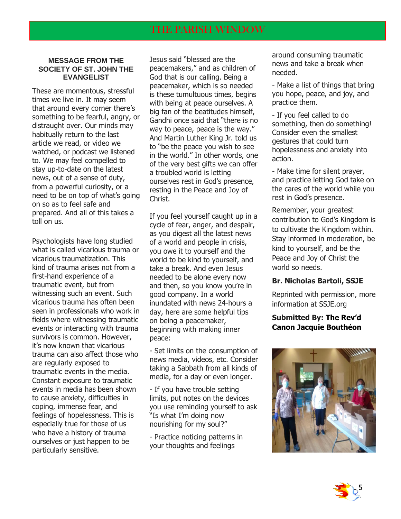#### **MESSAGE FROM THE SOCIETY OF ST. JOHN THE EVANGELIST**

These are momentous, stressful times we live in. It may seem that around every corner there's something to be fearful, angry, or distraught over. Our minds may habitually return to the last article we read, or video we watched, or podcast we listened to. We may feel compelled to stay up-to-date on the latest news, out of a sense of duty, from a powerful curiosity, or a need to be on top of what's going on so as to feel safe and prepared. And all of this takes a toll on us.

Psychologists have long studied what is called vicarious trauma or vicarious traumatization. This kind of trauma arises not from a first-hand experience of a traumatic event, but from witnessing such an event. Such vicarious trauma has often been seen in professionals who work in fields where witnessing traumatic events or interacting with trauma survivors is common. However, it's now known that vicarious trauma can also affect those who are regularly exposed to traumatic events in the media. Constant exposure to traumatic events in media has been shown to cause anxiety, difficulties in coping, immense fear, and feelings of hopelessness. This is especially true for those of us who have a history of trauma ourselves or just happen to be particularly sensitive.

Jesus said "blessed are the peacemakers," and as children of God that is our calling. Being a peacemaker, which is so needed is these tumultuous times, begins with being at peace ourselves. A big fan of the beatitudes himself, Gandhi once said that "there is no way to peace, peace is the way." And Martin Luther King Jr. told us to "be the peace you wish to see in the world." In other words, one of the very best gifts we can offer a troubled world is letting ourselves rest in God's presence, resting in the Peace and Joy of Christ.

If you feel yourself caught up in a cycle of fear, anger, and despair, as you digest all the latest news of a world and people in crisis, you owe it to yourself and the world to be kind to yourself, and take a break. And even Jesus needed to be alone every now and then, so you know you're in good company. In a world inundated with news 24-hours a day, here are some helpful tips on being a peacemaker, beginning with making inner peace:

- Set limits on the consumption of news media, videos, etc. Consider taking a Sabbath from all kinds of media, for a day or even longer.

- If you have trouble setting limits, put notes on the devices you use reminding yourself to ask "Is what I'm doing now nourishing for my soul?"

- Practice noticing patterns in your thoughts and feelings

around consuming traumatic news and take a break when needed.

- Make a list of things that bring you hope, peace, and joy, and practice them.

- If you feel called to do something, then do something! Consider even the smallest gestures that could turn hopelessness and anxiety into action.

- Make time for silent prayer, and practice letting God take on the cares of the world while you rest in God's presence.

Remember, your greatest contribution to God's Kingdom is to cultivate the Kingdom within. Stay informed in moderation, be kind to yourself, and be the Peace and Joy of Christ the world so needs.

#### **Br. Nicholas Bartoli, SSJE**

Reprinted with permission, more information at SSJE.org

#### **Submitted By: The Rev'd Canon Jacquie Bouthéon**



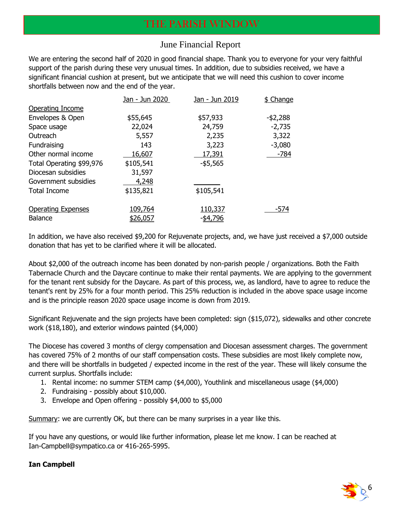### June Financial Report

We are entering the second half of 2020 in good financial shape. Thank you to everyone for your very faithful support of the parish during these very unusual times. In addition, due to subsidies received, we have a significant financial cushion at present, but we anticipate that we will need this cushion to cover income shortfalls between now and the end of the year.

|                           | Jan - Jun 2020 | Jan - Jun 2019 | \$ Change   |
|---------------------------|----------------|----------------|-------------|
| Operating Income          |                |                |             |
| Envelopes & Open          | \$55,645       | \$57,933       | $-$ \$2,288 |
| Space usage               | 22,024         | 24,759         | $-2,735$    |
| Outreach                  | 5,557          | 2,235          | 3,322       |
| Fundraising               | 143            | 3,223          | $-3,080$    |
| Other normal income       | 16,607         | 17,391         | $-784$      |
| Total Operating \$99,976  | \$105,541      | $-$ \$5,565    |             |
| Diocesan subsidies        | 31,597         |                |             |
| Government subsidies      | 4,248          |                |             |
| <b>Total Income</b>       | \$135,821      | \$105,541      |             |
| <b>Operating Expenses</b> | 109,764        | <u>110,337</u> | $-574$      |
| <b>Balance</b>            | \$26,057       | $-$ \$4,796    |             |

In addition, we have also received \$9,200 for Rejuvenate projects, and, we have just received a \$7,000 outside donation that has yet to be clarified where it will be allocated.

About \$2,000 of the outreach income has been donated by non-parish people / organizations. Both the Faith Tabernacle Church and the Daycare continue to make their rental payments. We are applying to the government for the tenant rent subsidy for the Daycare. As part of this process, we, as landlord, have to agree to reduce the tenant's rent by 25% for a four month period. This 25% reduction is included in the above space usage income and is the principle reason 2020 space usage income is down from 2019.

Significant Rejuvenate and the sign projects have been completed: sign (\$15,072), sidewalks and other concrete work (\$18,180), and exterior windows painted (\$4,000)

The Diocese has covered 3 months of clergy compensation and Diocesan assessment charges. The government has covered 75% of 2 months of our staff compensation costs. These subsidies are most likely complete now, and there will be shortfalls in budgeted / expected income in the rest of the year. These will likely consume the current surplus. Shortfalls include:

- 1. Rental income: no summer STEM camp (\$4,000), Youthlink and miscellaneous usage (\$4,000)
- 2. Fundraising possibly about \$10,000.
- 3. Envelope and Open offering possibly \$4,000 to \$5,000

Summary: we are currently OK, but there can be many surprises in a year like this.

If you have any questions, or would like further information, please let me know. I can be reached at Ian-Campbell@sympatico.ca or 416-265-5995.

#### **Ian Campbell**

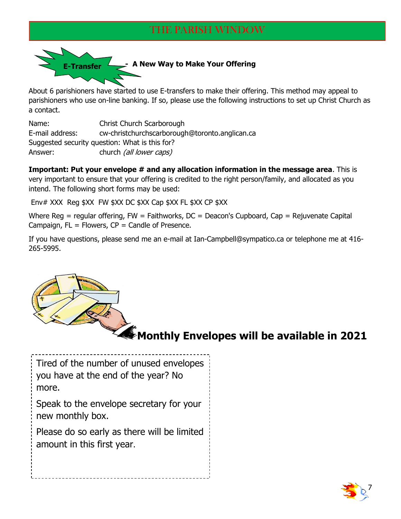

About 6 parishioners have started to use E-transfers to make their offering. This method may appeal to parishioners who use on-line banking. If so, please use the following instructions to set up Christ Church as a contact.

Name: Christ Church Scarborough E-mail address: cw-christchurchscarborough@toronto.anglican.ca Suggested security question: What is this for? Answer: church *(all lower caps)* 

**Important: Put your envelope # and any allocation information in the message area.** This is very important to ensure that your offering is credited to the right person/family, and allocated as you intend. The following short forms may be used:

Env# XXX Reg \$XX FW \$XX DC \$XX Cap \$XX FL \$XX CP \$XX

Where Reg = regular offering,  $FW =$  Faithworks,  $DC =$  Deacon's Cupboard,  $Cap =$  Rejuvenate Capital Campaign,  $FL = Flowers$ ,  $CP = Candle$  of Presence.

If you have questions, please send me an e-mail at Ian-Campbell@sympatico.ca or telephone me at 416- 265-5995.



# **Monthly Envelopes will be available in 2021**

Tired of the number of unused envelopes you have at the end of the year? No more.

Speak to the envelope secretary for your new monthly box.

Please do so early as there will be limited amount in this first year.

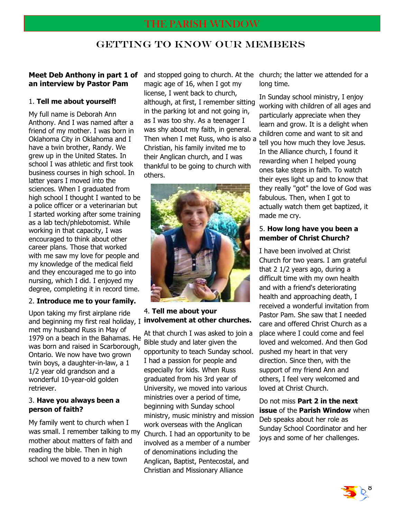## GETTING TO KNOW OUR MEMBERS

#### **Meet Deb Anthony in part 1 of an interview by Pastor Pam**

#### 1. **Tell me about yourself!**

My full name is Deborah Ann Anthony. And I was named after a friend of my mother. I was born in Oklahoma City in Oklahoma and I have a twin brother, Randy. We grew up in the United States. In school I was athletic and first took business courses in high school. In latter years I moved into the sciences. When I graduated from high school I thought I wanted to be a police officer or a veterinarian but I started working after some training as a lab tech/phlebotomist. While working in that capacity, I was encouraged to think about other career plans. Those that worked with me saw my love for people and my knowledge of the medical field and they encouraged me to go into nursing, which I did. I enjoyed my degree, completing it in record time.

#### 2. **Introduce me to your family.**

Upon taking my first airplane ride and beginning my first real holiday, I **involvement at other churches.** met my husband Russ in May of 1979 on a beach in the Bahamas. He was born and raised in Scarborough, Ontario. We now have two grown twin boys, a daughter-in-law, a 1 1/2 year old grandson and a wonderful 10-year-old golden retriever.

#### 3. **Have you always been a person of faith?**

My family went to church when I was small. I remember talking to my mother about matters of faith and reading the bible. Then in high school we moved to a new town

and stopped going to church. At the magic age of 16, when I got my license, I went back to church, although, at first, I remember sitting in the parking lot and not going in, as I was too shy. As a teenager I was shy about my faith, in general. Then when I met Russ, who is also a Christian, his family invited me to their Anglican church, and I was thankful to be going to church with others.



# 4. **Tell me about your**

At that church I was asked to join a Bible study and later given the opportunity to teach Sunday school. I had a passion for people and especially for kids. When Russ graduated from his 3rd year of University, we moved into various ministries over a period of time, beginning with Sunday school ministry, music ministry and mission work overseas with the Anglican Church. I had an opportunity to be involved as a member of a number of denominations including the Anglican, Baptist, Pentecostal, and Christian and Missionary Alliance

church; the latter we attended for a long time.

In Sunday school ministry, I enjoy working with children of all ages and particularly appreciate when they learn and grow. It is a delight when children come and want to sit and tell you how much they love Jesus. In the Alliance church, I found it rewarding when I helped young ones take steps in faith. To watch their eyes light up and to know that they really "got" the love of God was fabulous. Then, when I got to actually watch them get baptized, it made me cry.

#### 5. **How long have you been a member of Christ Church?**

I have been involved at Christ Church for two years. I am grateful that 2 1/2 years ago, during a difficult time with my own health and with a friend's deteriorating health and approaching death, I received a wonderful invitation from Pastor Pam. She saw that I needed care and offered Christ Church as a place where I could come and feel loved and welcomed. And then God pushed my heart in that very direction. Since then, with the support of my friend Ann and others, I feel very welcomed and loved at Christ Church.

Do not miss **Part 2 in the next issue** of the **Parish Window** when Deb speaks about her role as Sunday School Coordinator and her joys and some of her challenges.

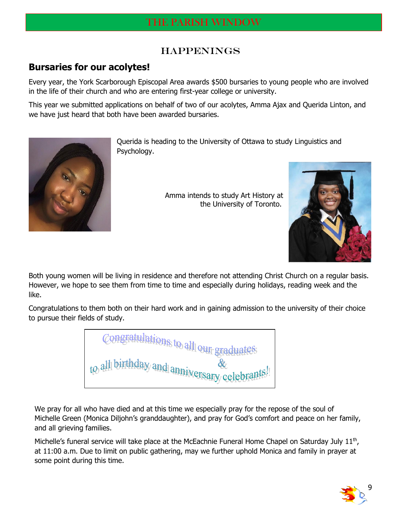## **HAPPENINGS**

## **Bursaries for our acolytes!**

Every year, the York Scarborough Episcopal Area awards \$500 bursaries to young people who are involved in the life of their church and who are entering first-year college or university.

This year we submitted applications on behalf of two of our acolytes, Amma Ajax and Querida Linton, and we have just heard that both have been awarded bursaries.



Querida is heading to the University of Ottawa to study Linguistics and Psychology.

> Amma intends to study Art History at the University of Toronto.



Both young women will be living in residence and therefore not attending Christ Church on a regular basis. However, we hope to see them from time to time and especially during holidays, reading week and the like.

Congratulations to them both on their hard work and in gaining admission to the university of their choice to pursue their fields of study.

Congratulations to all our gr all birthday and annivers

We pray for all who have died and at this time we especially pray for the repose of the soul of Michelle Green (Monica Diljohn's granddaughter), and pray for God's comfort and peace on her family, and all grieving families.

Michelle's funeral service will take place at the McEachnie Funeral Home Chapel on Saturday July  $11<sup>th</sup>$ , at 11:00 a.m. Due to limit on public gathering, may we further uphold Monica and family in prayer at some point during this time.